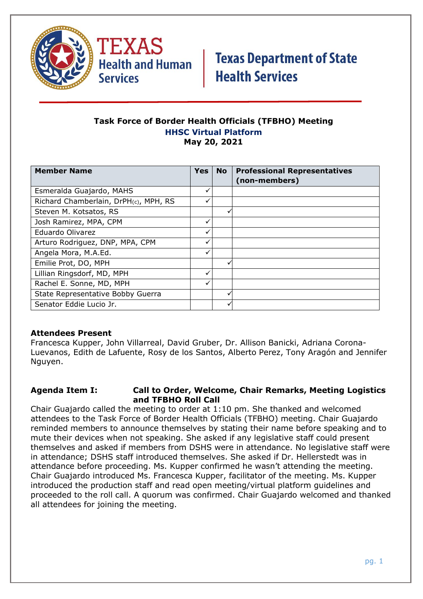

TEXAS **Health and Human Services** 

# **Texas Department of State Health Services**

#### **Task Force of Border Health Officials (TFBHO) Meeting HHSC Virtual Platform May 20, 2021**

| <b>Member Name</b>                    | <b>Yes</b> | <b>No</b> | <b>Professional Representatives</b><br>(non-members) |
|---------------------------------------|------------|-----------|------------------------------------------------------|
| Esmeralda Guajardo, MAHS              |            |           |                                                      |
| Richard Chamberlain, DrPH(c), MPH, RS |            |           |                                                      |
| Steven M. Kotsatos, RS                |            | v         |                                                      |
| Josh Ramirez, MPA, CPM                |            |           |                                                      |
| Eduardo Olivarez                      |            |           |                                                      |
| Arturo Rodriguez, DNP, MPA, CPM       | ✓          |           |                                                      |
| Angela Mora, M.A.Ed.                  |            |           |                                                      |
| Emilie Prot, DO, MPH                  |            |           |                                                      |
| Lillian Ringsdorf, MD, MPH            |            |           |                                                      |
| Rachel E. Sonne, MD, MPH              |            |           |                                                      |
| State Representative Bobby Guerra     |            | v         |                                                      |
| Senator Eddie Lucio Jr.               |            |           |                                                      |

### **Attendees Present**

Francesca Kupper, John Villarreal, David Gruber, Dr. Allison Banicki, Adriana Corona-Luevanos, Edith de Lafuente, Rosy de los Santos, Alberto Perez, Tony Aragón and Jennifer Nguyen.

### **Agenda Item I: Call to Order, Welcome, Chair Remarks, Meeting Logistics and TFBHO Roll Call**

Chair Guajardo called the meeting to order at 1:10 pm. She thanked and welcomed attendees to the Task Force of Border Health Officials (TFBHO) meeting. Chair Guajardo reminded members to announce themselves by stating their name before speaking and to mute their devices when not speaking. She asked if any legislative staff could present themselves and asked if members from DSHS were in attendance. No legislative staff were in attendance; DSHS staff introduced themselves. She asked if Dr. Hellerstedt was in attendance before proceeding. Ms. Kupper confirmed he wasn't attending the meeting. Chair Guajardo introduced Ms. Francesca Kupper, facilitator of the meeting. Ms. Kupper introduced the production staff and read open meeting/virtual platform guidelines and proceeded to the roll call. A quorum was confirmed. Chair Guajardo welcomed and thanked all attendees for joining the meeting.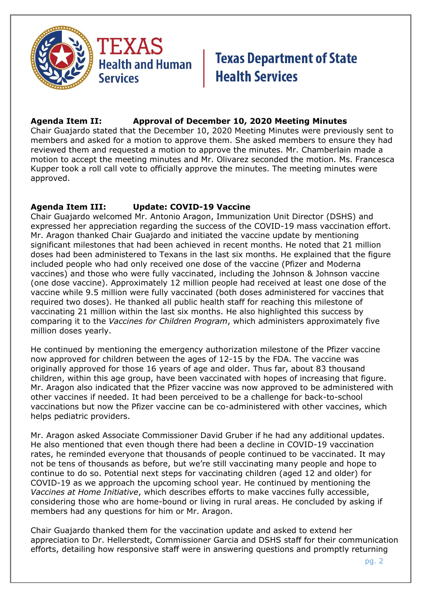

### **Agenda Item II: Approval of December 10, 2020 Meeting Minutes**

Chair Guajardo stated that the December 10, 2020 Meeting Minutes were previously sent to members and asked for a motion to approve them. She asked members to ensure they had reviewed them and requested a motion to approve the minutes. Mr. Chamberlain made a motion to accept the meeting minutes and Mr. Olivarez seconded the motion. Ms. Francesca Kupper took a roll call vote to officially approve the minutes. The meeting minutes were approved.

### **Agenda Item III: Update: COVID-19 Vaccine**

Chair Guajardo welcomed Mr. Antonio Aragon, Immunization Unit Director (DSHS) and expressed her appreciation regarding the success of the COVID-19 mass vaccination effort. Mr. Aragon thanked Chair Guajardo and initiated the vaccine update by mentioning significant milestones that had been achieved in recent months. He noted that 21 million doses had been administered to Texans in the last six months. He explained that the figure included people who had only received one dose of the vaccine (Pfizer and Moderna vaccines) and those who were fully vaccinated, including the Johnson & Johnson vaccine (one dose vaccine). Approximately 12 million people had received at least one dose of the vaccine while 9.5 million were fully vaccinated (both doses administered for vaccines that required two doses). He thanked all public health staff for reaching this milestone of vaccinating 21 million within the last six months. He also highlighted this success by comparing it to the *Vaccines for Children Program*, which administers approximately five million doses yearly.

He continued by mentioning the emergency authorization milestone of the Pfizer vaccine now approved for children between the ages of 12-15 by the FDA. The vaccine was originally approved for those 16 years of age and older. Thus far, about 83 thousand children, within this age group, have been vaccinated with hopes of increasing that figure. Mr. Aragon also indicated that the Pfizer vaccine was now approved to be administered with other vaccines if needed. It had been perceived to be a challenge for back-to-school vaccinations but now the Pfizer vaccine can be co-administered with other vaccines, which helps pediatric providers.

Mr. Aragon asked Associate Commissioner David Gruber if he had any additional updates. He also mentioned that even though there had been a decline in COVID-19 vaccination rates, he reminded everyone that thousands of people continued to be vaccinated. It may not be tens of thousands as before, but we're still vaccinating many people and hope to continue to do so. Potential next steps for vaccinating children (aged 12 and older) for COVID-19 as we approach the upcoming school year. He continued by mentioning the *Vaccines at Home Initiative*, which describes efforts to make vaccines fully accessible, considering those who are home-bound or living in rural areas. He concluded by asking if members had any questions for him or Mr. Aragon.

Chair Guajardo thanked them for the vaccination update and asked to extend her appreciation to Dr. Hellerstedt, Commissioner Garcia and DSHS staff for their communication efforts, detailing how responsive staff were in answering questions and promptly returning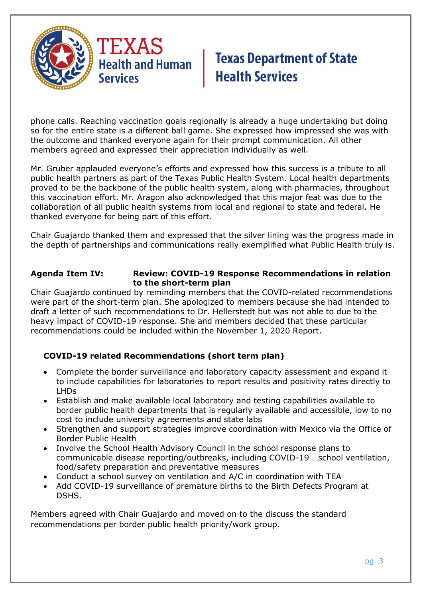

phone calls. Reaching vaccination goals regionally is already a huge undertaking but doing so for the entire state is a different ball game. She expressed how impressed she was with the outcome and thanked everyone again for their prompt communication. All other members agreed and expressed their appreciation individually as well.

Mr. Gruber applauded everyone's efforts and expressed how this success is a tribute to all public health partners as part of the Texas Public Health System. Local health departments proved to be the backbone of the public health system, along with pharmacies, throughout this vaccination effort. Mr. Aragon also acknowledged that this major feat was due to the collaboration of all public health systems from local and regional to state and federal. He thanked everyone for being part of this effort.

Chair Guajardo thanked them and expressed that the silver lining was the progress made in the depth of partnerships and communications really exemplified what Public Health truly is.

#### **Agenda Item IV: Review: COVID-19 Response Recommendations in relation to the short-term plan**

Chair Guajardo continued by reminding members that the COVID-related recommendations were part of the short-term plan. She apologized to members because she had intended to draft a letter of such recommendations to Dr. Hellerstedt but was not able to due to the heavy impact of COVID-19 response. She and members decided that these particular recommendations could be included within the November 1, 2020 Report.

### **COVID-19 related Recommendations (short term plan)**

- Complete the border surveillance and laboratory capacity assessment and expand it to include capabilities for laboratories to report results and positivity rates directly to LHDs
- Establish and make available local laboratory and testing capabilities available to border public health departments that is regularly available and accessible, low to no cost to include university agreements and state labs
- Strengthen and support strategies improve coordination with Mexico via the Office of Border Public Health
- Involve the School Health Advisory Council in the school response plans to communicable disease reporting/outbreaks, including COVID-19 …school ventilation, food/safety preparation and preventative measures
- Conduct a school survey on ventilation and A/C in coordination with TEA
- Add COVID-19 surveillance of premature births to the Birth Defects Program at DSHS.

Members agreed with Chair Guajardo and moved on to the discuss the standard recommendations per border public health priority/work group.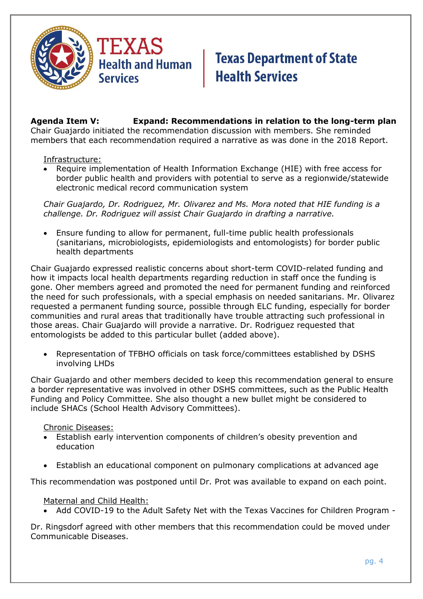

**Agenda Item V: Expand: Recommendations in relation to the long-term plan** Chair Guajardo initiated the recommendation discussion with members. She reminded members that each recommendation required a narrative as was done in the 2018 Report.

#### Infrastructure:

• Require implementation of Health Information Exchange (HIE) with free access for border public health and providers with potential to serve as a regionwide/statewide electronic medical record communication system

*Chair Guajardo, Dr. Rodriguez, Mr. Olivarez and Ms. Mora noted that HIE funding is a challenge. Dr. Rodriguez will assist Chair Guajardo in drafting a narrative.* 

• Ensure funding to allow for permanent, full-time public health professionals (sanitarians, microbiologists, epidemiologists and entomologists) for border public health departments

Chair Guajardo expressed realistic concerns about short-term COVID-related funding and how it impacts local health departments regarding reduction in staff once the funding is gone. Oher members agreed and promoted the need for permanent funding and reinforced the need for such professionals, with a special emphasis on needed sanitarians. Mr. Olivarez requested a permanent funding source, possible through ELC funding, especially for border communities and rural areas that traditionally have trouble attracting such professional in those areas. Chair Guajardo will provide a narrative. Dr. Rodriguez requested that entomologists be added to this particular bullet (added above).

• Representation of TFBHO officials on task force/committees established by DSHS involving LHDs

Chair Guajardo and other members decided to keep this recommendation general to ensure a border representative was involved in other DSHS committees, such as the Public Health Funding and Policy Committee. She also thought a new bullet might be considered to include SHACs (School Health Advisory Committees).

#### Chronic Diseases:

- Establish early intervention components of children's obesity prevention and education
- Establish an educational component on pulmonary complications at advanced age

This recommendation was postponed until Dr. Prot was available to expand on each point.

#### Maternal and Child Health:

• Add COVID-19 to the Adult Safety Net with the Texas Vaccines for Children Program -

Dr. Ringsdorf agreed with other members that this recommendation could be moved under Communicable Diseases.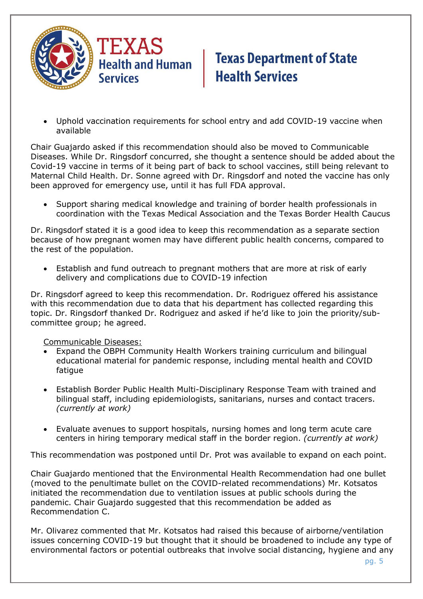

• Uphold vaccination requirements for school entry and add COVID-19 vaccine when available

Chair Guajardo asked if this recommendation should also be moved to Communicable Diseases. While Dr. Ringsdorf concurred, she thought a sentence should be added about the Covid-19 vaccine in terms of it being part of back to school vaccines, still being relevant to Maternal Child Health. Dr. Sonne agreed with Dr. Ringsdorf and noted the vaccine has only been approved for emergency use, until it has full FDA approval.

• Support sharing medical knowledge and training of border health professionals in coordination with the Texas Medical Association and the Texas Border Health Caucus

Dr. Ringsdorf stated it is a good idea to keep this recommendation as a separate section because of how pregnant women may have different public health concerns, compared to the rest of the population.

• Establish and fund outreach to pregnant mothers that are more at risk of early delivery and complications due to COVID-19 infection

Dr. Ringsdorf agreed to keep this recommendation. Dr. Rodriguez offered his assistance with this recommendation due to data that his department has collected regarding this topic. Dr. Ringsdorf thanked Dr. Rodriguez and asked if he'd like to join the priority/subcommittee group; he agreed.

Communicable Diseases:

- Expand the OBPH Community Health Workers training curriculum and bilingual educational material for pandemic response, including mental health and COVID fatigue
- Establish Border Public Health Multi-Disciplinary Response Team with trained and bilingual staff, including epidemiologists, sanitarians, nurses and contact tracers. *(currently at work)*
- Evaluate avenues to support hospitals, nursing homes and long term acute care centers in hiring temporary medical staff in the border region. *(currently at work)*

This recommendation was postponed until Dr. Prot was available to expand on each point.

Chair Guajardo mentioned that the Environmental Health Recommendation had one bullet (moved to the penultimate bullet on the COVID-related recommendations) Mr. Kotsatos initiated the recommendation due to ventilation issues at public schools during the pandemic. Chair Guajardo suggested that this recommendation be added as Recommendation C.

Mr. Olivarez commented that Mr. Kotsatos had raised this because of airborne/ventilation issues concerning COVID-19 but thought that it should be broadened to include any type of environmental factors or potential outbreaks that involve social distancing, hygiene and any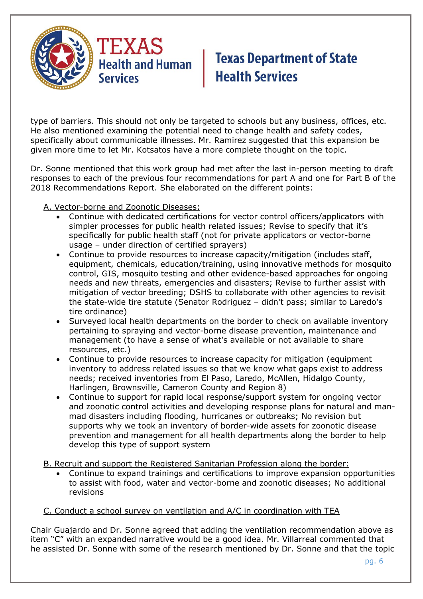

type of barriers. This should not only be targeted to schools but any business, offices, etc. He also mentioned examining the potential need to change health and safety codes, specifically about communicable illnesses. Mr. Ramirez suggested that this expansion be given more time to let Mr. Kotsatos have a more complete thought on the topic.

Dr. Sonne mentioned that this work group had met after the last in-person meeting to draft responses to each of the previous four recommendations for part A and one for Part B of the 2018 Recommendations Report. She elaborated on the different points:

- A. Vector-borne and Zoonotic Diseases:
	- Continue with dedicated certifications for vector control officers/applicators with simpler processes for public health related issues; Revise to specify that it's specifically for public health staff (not for private applicators or vector-borne usage – under direction of certified sprayers)
	- Continue to provide resources to increase capacity/mitigation (includes staff, equipment, chemicals, education/training, using innovative methods for mosquito control, GIS, mosquito testing and other evidence-based approaches for ongoing needs and new threats, emergencies and disasters; Revise to further assist with mitigation of vector breeding; DSHS to collaborate with other agencies to revisit the state-wide tire statute (Senator Rodriguez – didn't pass; similar to Laredo's tire ordinance)
	- Surveyed local health departments on the border to check on available inventory pertaining to spraying and vector-borne disease prevention, maintenance and management (to have a sense of what's available or not available to share resources, etc.)
	- Continue to provide resources to increase capacity for mitigation (equipment inventory to address related issues so that we know what gaps exist to address needs; received inventories from El Paso, Laredo, McAllen, Hidalgo County, Harlingen, Brownsville, Cameron County and Region 8)
	- Continue to support for rapid local response/support system for ongoing vector and zoonotic control activities and developing response plans for natural and manmad disasters including flooding, hurricanes or outbreaks; No revision but supports why we took an inventory of border-wide assets for zoonotic disease prevention and management for all health departments along the border to help develop this type of support system
- B. Recruit and support the Registered Sanitarian Profession along the border:
	- Continue to expand trainings and certifications to improve expansion opportunities to assist with food, water and vector-borne and zoonotic diseases; No additional revisions

### C. Conduct a school survey on ventilation and A/C in coordination with TEA

Chair Guajardo and Dr. Sonne agreed that adding the ventilation recommendation above as item "C" with an expanded narrative would be a good idea. Mr. Villarreal commented that he assisted Dr. Sonne with some of the research mentioned by Dr. Sonne and that the topic